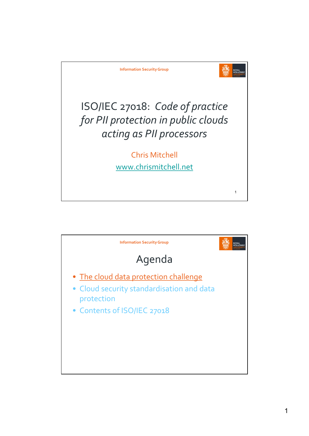

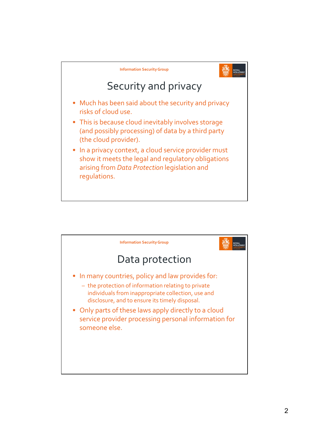

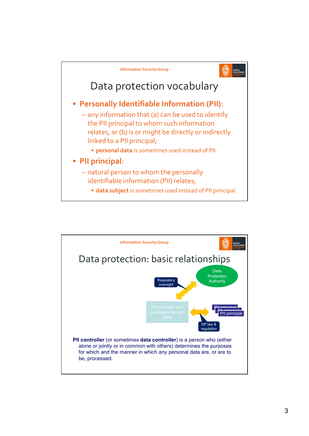

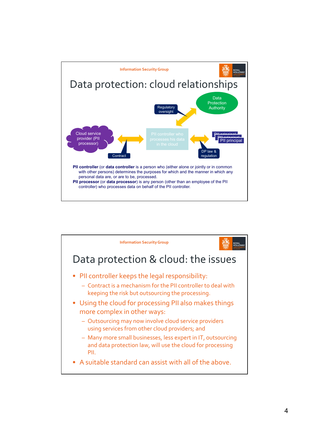

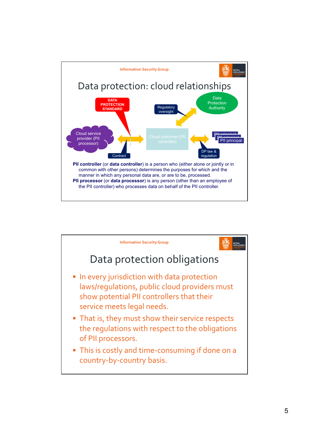

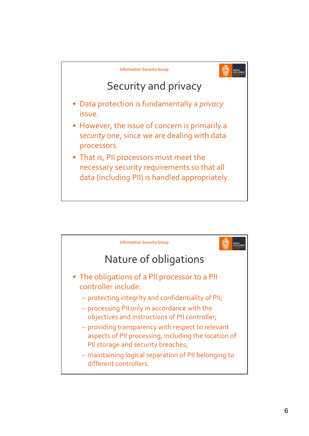

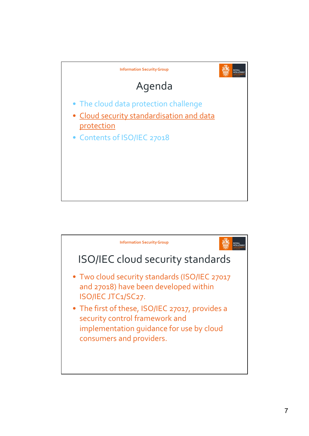

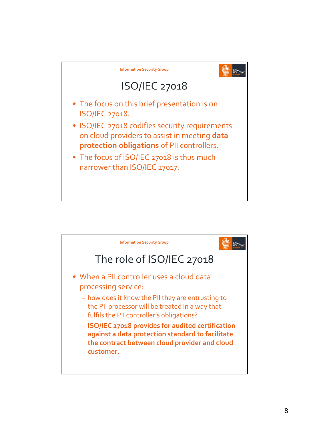

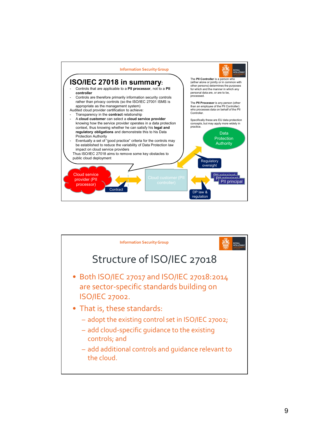

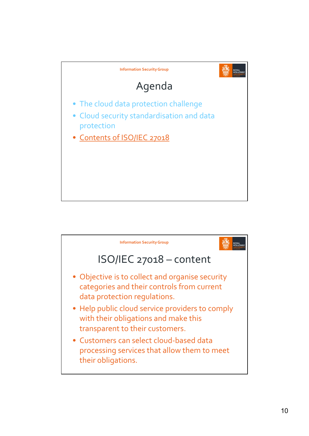

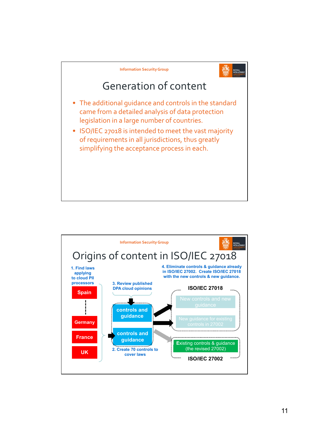

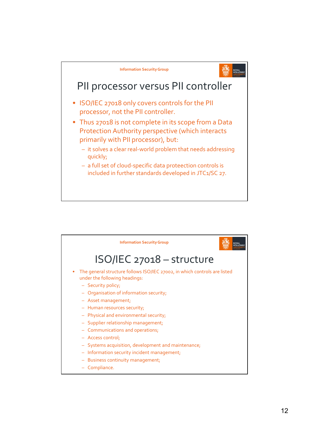

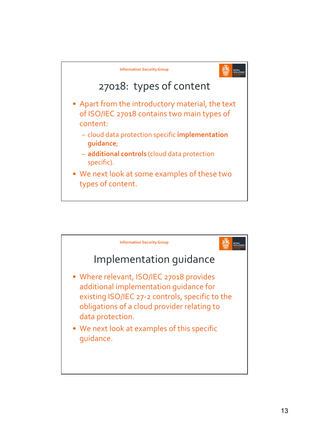

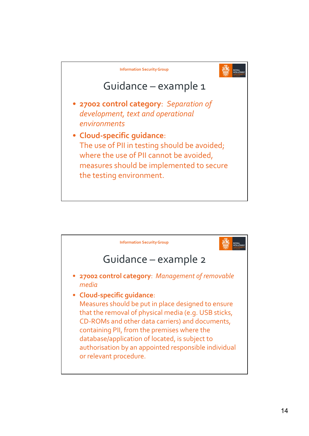

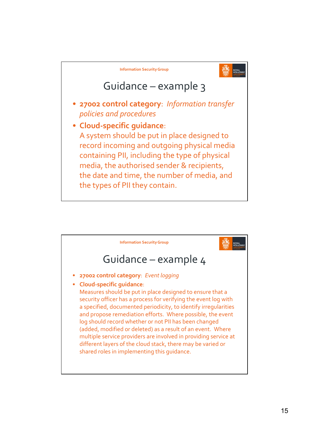

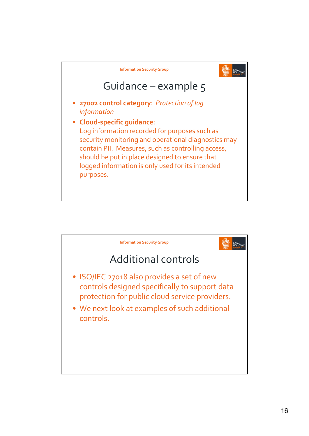

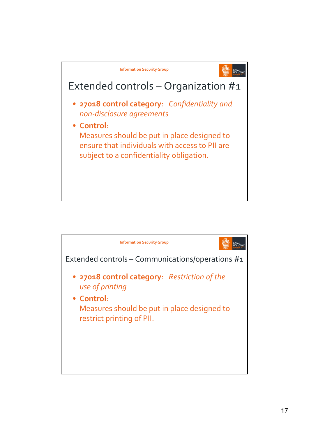

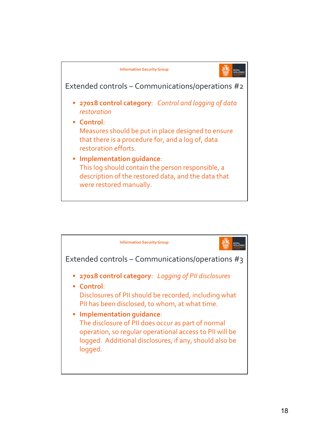

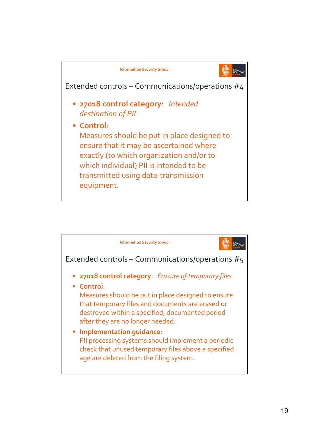

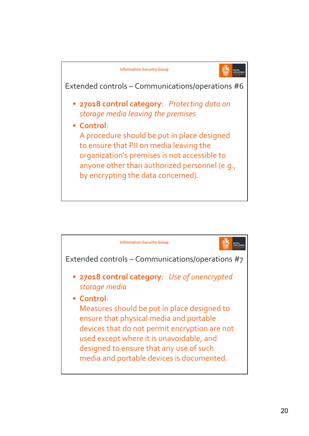

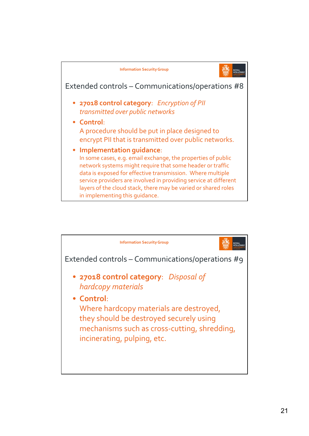

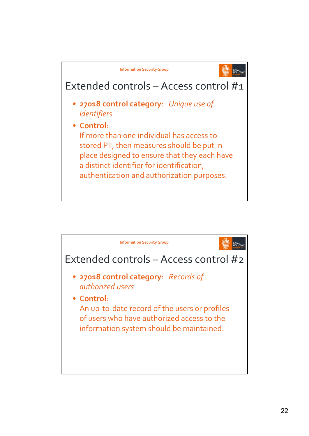

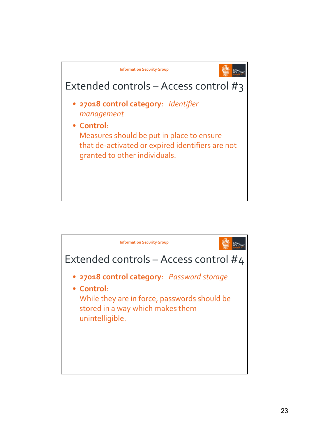

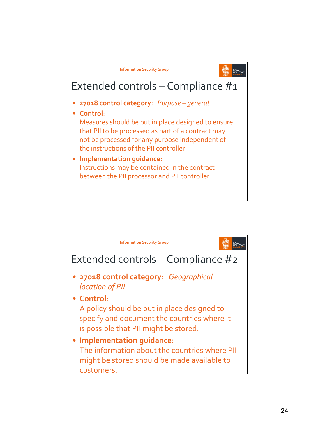

![](_page_23_Figure_1.jpeg)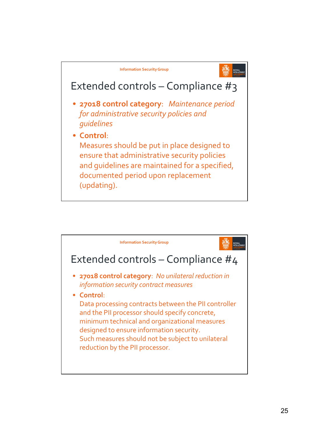![](_page_24_Figure_0.jpeg)

![](_page_24_Figure_1.jpeg)